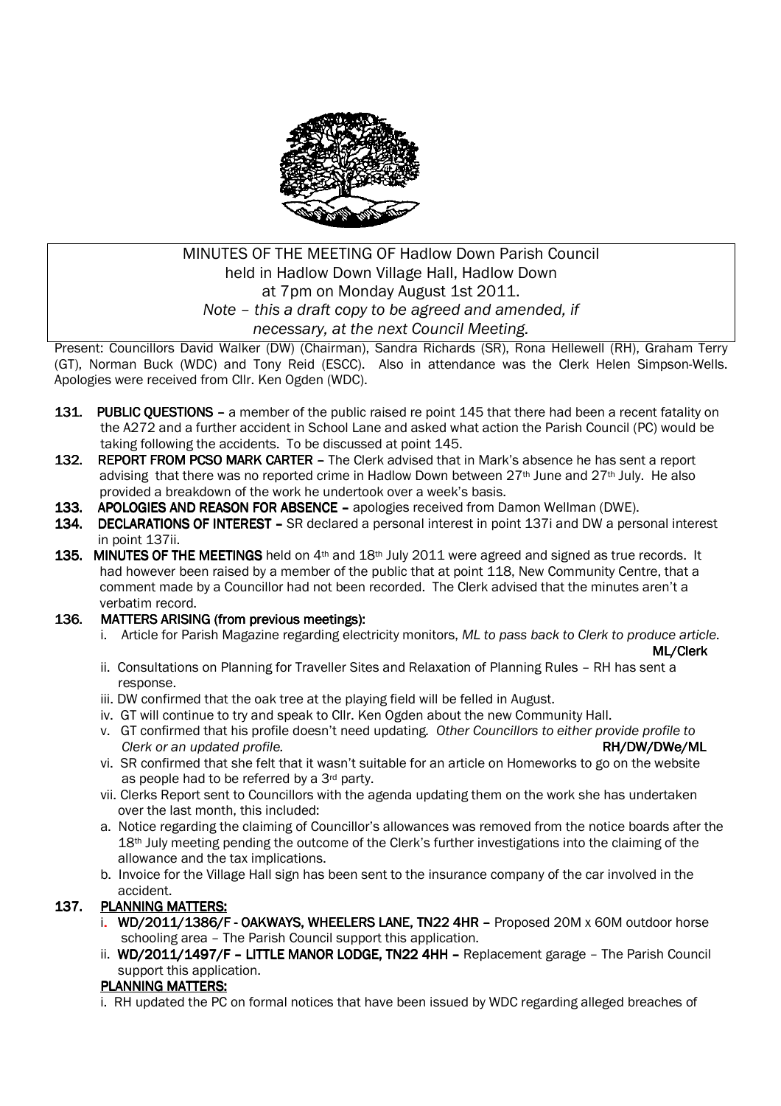

# MINUTES OF THE MEETING OF Hadlow Down Parish Council held in Hadlow Down Village Hall, Hadlow Down at 7pm on Monday August 1st 2011. *Note – this a draft copy to be agreed and amended, if necessary, at the next Council Meeting.*

Present: Councillors David Walker (DW) (Chairman), Sandra Richards (SR), Rona Hellewell (RH), Graham Terry (GT), Norman Buck (WDC) and Tony Reid (ESCC). Also in attendance was the Clerk Helen Simpson-Wells. Apologies were received from Cllr. Ken Ogden (WDC).

- 131. PUBLIC OUESTIONS a member of the public raised re point 145 that there had been a recent fatality on the A272 and a further accident in School Lane and asked what action the Parish Council (PC) would be taking following the accidents. To be discussed at point 145.
- 132. REPORT FROM PCSO MARK CARTER The Clerk advised that in Mark's absence he has sent a report advising that there was no reported crime in Hadlow Down between  $27<sup>th</sup>$  June and  $27<sup>th</sup>$  July. He also provided a breakdown of the work he undertook over a week's basis.
- 133. APOLOGIES AND REASON FOR ABSENCE apologies received from Damon Wellman (DWE).
- 134. DECLARATIONS OF INTEREST SR declared a personal interest in point 137i and DW a personal interest in point 137ii.
- 135. MINUTES OF THE MEETINGS held on  $4<sup>th</sup>$  and  $18<sup>th</sup>$  July 2011 were agreed and signed as true records. It had however been raised by a member of the public that at point 118. New Community Centre, that a comment made by a Councillor had not been recorded. The Clerk advised that the minutes aren't a verbatim record.

## 136. MATTERS ARISING (from previous meetings):

i. Article for Parish Magazine regarding electricity monitors, *ML to pass back to Clerk to produce article*.

- ML/Clerk ii. Consultations on Planning for Traveller Sites and Relaxation of Planning Rules – RH has sent a response.
	- iii. DW confirmed that the oak tree at the playing field will be felled in August.
	- iv. GT will continue to try and speak to Cllr. Ken Ogden about the new Community Hall.
	- v. GT confirmed that his profile doesn't need updating*. Other Councillors to either provide profile to Clerk or an updated profile.* **RH/DW/DWe/ML RH/DW/DWe/ML**
	- vi. SR confirmed that she felt that it wasn't suitable for an article on Homeworks to go on the website as people had to be referred by a 3rd party.
	- vii. Clerks Report sent to Councillors with the agenda updating them on the work she has undertaken over the last month, this included:
	- a. Notice regarding the claiming of Councillor's allowances was removed from the notice boards after the 18<sup>th</sup> July meeting pending the outcome of the Clerk's further investigations into the claiming of the allowance and the tax implications.
	- b. Invoice for the Village Hall sign has been sent to the insurance company of the car involved in the accident.

# 137. PLANNING MATTERS:

- i.  $WD/2011/1386/F OAKWAYS$ , WHEELERS LANE, TN22 4HR Proposed 20M x 60M outdoor horse schooling area – The Parish Council support this application.
- ii. WD/2011/1497/F LITTLE MANOR LODGE, TN22 4HH Replacement garage The Parish Council support this application.

## PLANNING MATTERS:

i. RH updated the PC on formal notices that have been issued by WDC regarding alleged breaches of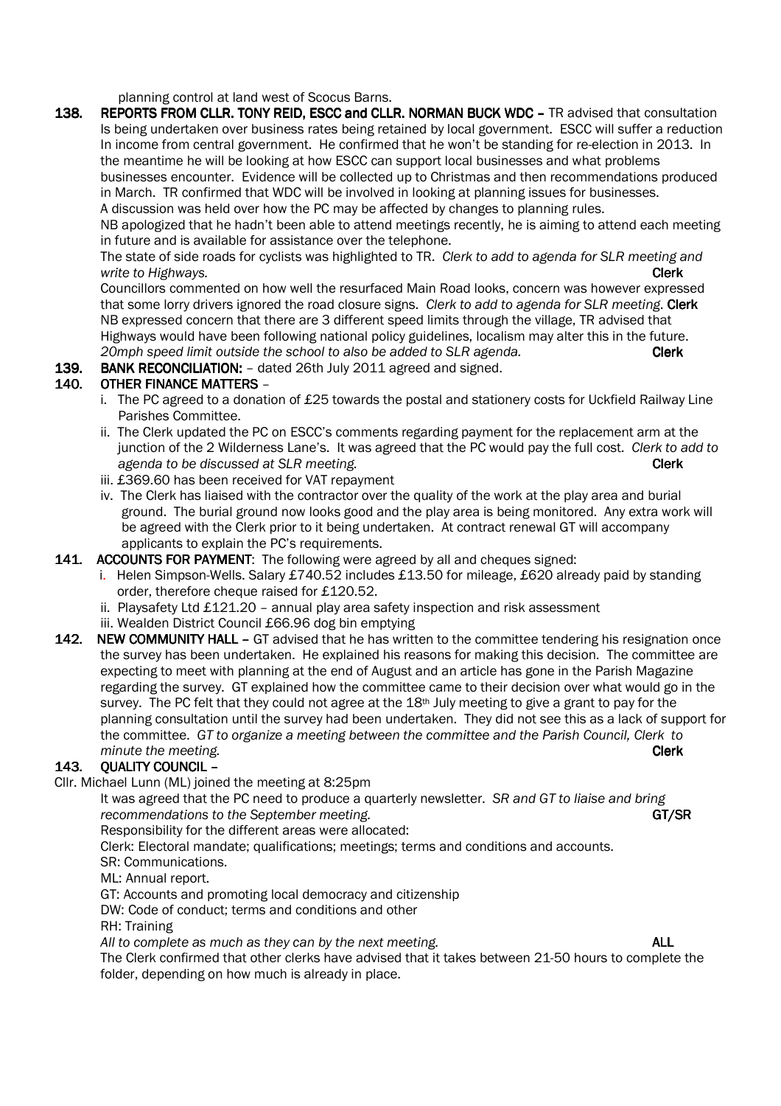planning control at land west of Scocus Barns.

138. REPORTS FROM CLLR. TONY REID, ESCC and CLLR. NORMAN BUCK WDC - TR advised that consultation Is being undertaken over business rates being retained by local government. ESCC will suffer a reduction In income from central government. He confirmed that he won't be standing for re-election in 2013. In the meantime he will be looking at how ESCC can support local businesses and what problems businesses encounter. Evidence will be collected up to Christmas and then recommendations produced in March. TR confirmed that WDC will be involved in looking at planning issues for businesses. A discussion was held over how the PC may be affected by changes to planning rules.

 NB apologized that he hadn't been able to attend meetings recently, he is aiming to attend each meeting in future and is available for assistance over the telephone.

 The state of side roads for cyclists was highlighted to TR. *Clerk to add to agenda for SLR meeting and write to Highways.* Clerk

 Councillors commented on how well the resurfaced Main Road looks, concern was however expressed that some lorry drivers ignored the road closure signs. *Clerk to add to agenda for SLR meeting*. Clerk NB expressed concern that there are 3 different speed limits through the village, TR advised that Highways would have been following national policy guidelines, localism may alter this in the future. 20mph speed limit outside the school to also be added to SLR agenda. **Clerk** 

139. BANK RECONCILIATION: - dated 26th July 2011 agreed and signed.

## 140. OTHER FINANCE MATTERS -

- i. The PC agreed to a donation of £25 towards the postal and stationery costs for Uckfield Railway Line Parishes Committee.
- ii. The Clerk updated the PC on ESCC's comments regarding payment for the replacement arm at the junction of the 2 Wilderness Lane's. It was agreed that the PC would pay the full cost. *Clerk to add to agenda to be discussed at SLR meeting.* **Clerk Clerk Clerk**
- iii. £369.60 has been received for VAT repayment
- iv. The Clerk has liaised with the contractor over the quality of the work at the play area and burial ground. The burial ground now looks good and the play area is being monitored. Any extra work will be agreed with the Clerk prior to it being undertaken. At contract renewal GT will accompany applicants to explain the PC's requirements.

#### 141. ACCOUNTS FOR PAYMENT: The following were agreed by all and cheques signed:

- i. Helen Simpson-Wells. Salary £740.52 includes £13.50 for mileage, £620 already paid by standing order, therefore cheque raised for £120.52.
- ii. Playsafety Ltd £121.20 annual play area safety inspection and risk assessment
- iii. Wealden District Council £66.96 dog bin emptying
- 142. NEW COMMUNITY HALL GT advised that he has written to the committee tendering his resignation once the survey has been undertaken. He explained his reasons for making this decision. The committee are expecting to meet with planning at the end of August and an article has gone in the Parish Magazine regarding the survey. GT explained how the committee came to their decision over what would go in the survey. The PC felt that they could not agree at the  $18<sup>th</sup>$  July meeting to give a grant to pay for the planning consultation until the survey had been undertaken. They did not see this as a lack of support for the committee. *GT to organize a meeting between the committee and the Parish Council, Clerk to minute the meeting.* **Clerk**

## 143. OUALITY COUNCIL –

Cllr. Michael Lunn (ML) joined the meeting at 8:25pm

 It was agreed that the PC need to produce a quarterly newsletter. *SR and GT to liaise and bring recommendations to the September meeting.*  $GT/SR$ 

Responsibility for the different areas were allocated:

Clerk: Electoral mandate; qualifications; meetings; terms and conditions and accounts.

SR: Communications.

ML: Annual report.

GT: Accounts and promoting local democracy and citizenship

DW: Code of conduct; terms and conditions and other

RH: Training

*All to complete as much as they can by the next meeting.* ALL

 The Clerk confirmed that other clerks have advised that it takes between 21-50 hours to complete the folder, depending on how much is already in place.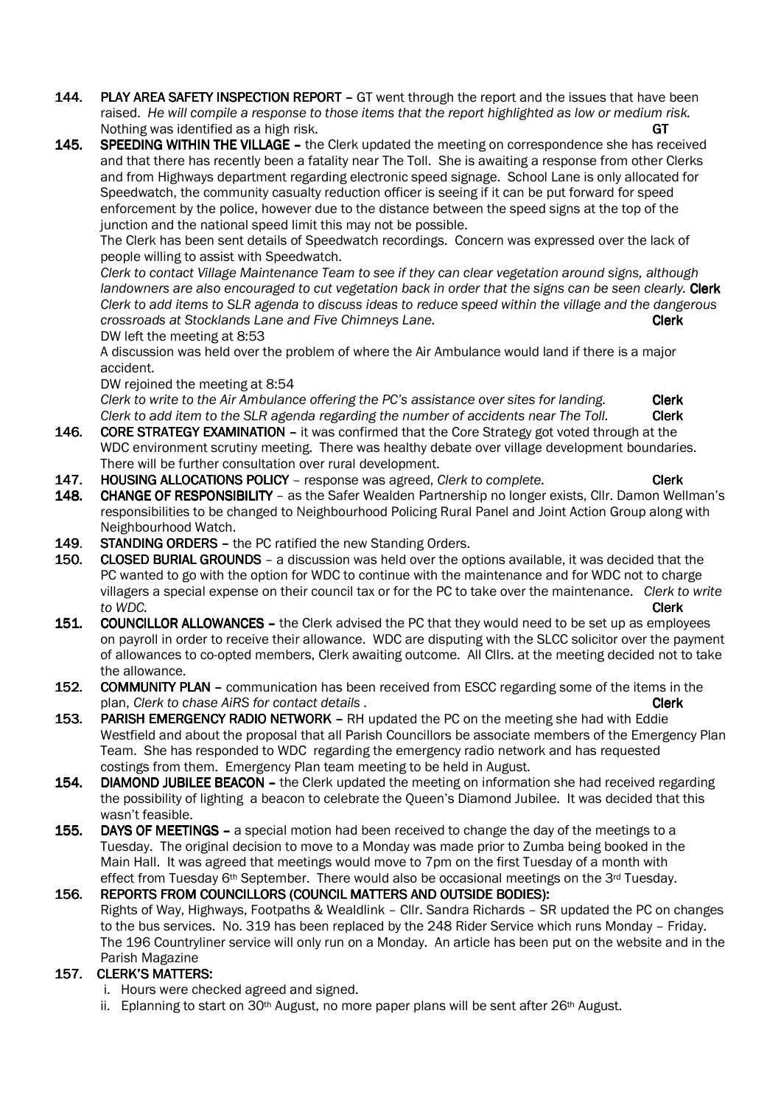- 144. PLAY AREA SAFETY INSPECTION REPORT GT went through the report and the issues that have been raised. *He will compile a response to those items that the report highlighted as low or medium risk.* Nothing was identified as a high risk. GT and the state of the state of the GT gT gT gT gT gT gT gT gT gT gT gT
- 145. SPEEDING WITHIN THE VILLAGE the Clerk updated the meeting on correspondence she has received and that there has recently been a fatality near The Toll. She is awaiting a response from other Clerks and from Highways department regarding electronic speed signage. School Lane is only allocated for Speedwatch, the community casualty reduction officer is seeing if it can be put forward for speed enforcement by the police, however due to the distance between the speed signs at the top of the junction and the national speed limit this may not be possible.

The Clerk has been sent details of Speedwatch recordings. Concern was expressed over the lack of people willing to assist with Speedwatch.

*Clerk to contact Village Maintenance Team to see if they can clear vegetation around signs, although*  landowners are also encouraged to cut vegetation back in order that the signs can be seen clearly. **Clerk** *Clerk to add items to SLR agenda to discuss ideas to reduce speed within the village and the dangerous crossroads at Stocklands Lane and Five Chimneys Lane.* **<b>Clerk Clerk** DW left the meeting at 8:53

A discussion was held over the problem of where the Air Ambulance would land if there is a major accident.

DW rejoined the meeting at 8:54

*Clerk to write to the Air Ambulance offering the PC's assistance over sites for landing.* **Clerk** *Clerk to add item to the SLR agenda regarding the number of accidents near The Toll.* Clerk

- 146. CORE STRATEGY EXAMINATION it was confirmed that the Core Strategy got voted through at the WDC environment scrutiny meeting. There was healthy debate over village development boundaries. There will be further consultation over rural development.
- 
- 147. **HOUSING ALLOCATIONS POLICY** response was agreed, *Clerk to complete.* **CHANGE OF RESPONSIBILITY** as the Safer Wealden Partnership no longer exists. Cllr. Damon Wel CHANGE OF RESPONSIBILITY - as the Safer Wealden Partnership no longer exists, Cllr. Damon Wellman's responsibilities to be changed to Neighbourhood Policing Rural Panel and Joint Action Group along with Neighbourhood Watch.
- 149. STANDING ORDERS the PC ratified the new Standing Orders.
- 150. CLOSED BURIAL GROUNDS a discussion was held over the options available, it was decided that the PC wanted to go with the option for WDC to continue with the maintenance and for WDC not to charge villagers a special expense on their council tax or for the PC to take over the maintenance. *Clerk to write to WDC.* Clerk
- **151. COUNCILLOR ALLOWANCES** the Clerk advised the PC that they would need to be set up as employees on payroll in order to receive their allowance. WDC are disputing with the SLCC solicitor over the payment of allowances to co-opted members, Clerk awaiting outcome. All Cllrs. at the meeting decided not to take the allowance.
- 152. COMMUNITY PLAN communication has been received from ESCC regarding some of the items in the plan, *Clerk to chase AiRS for contact details .* **Clerk** 2008 **Clerk** 2014 **Clerk**
- 153. PARISH EMERGENCY RADIO NETWORK RH updated the PC on the meeting she had with Eddie Westfield and about the proposal that all Parish Councillors be associate members of the Emergency Plan Team. She has responded to WDC regarding the emergency radio network and has requested costings from them. Emergency Plan team meeting to be held in August.<br>154. DIAMOND JUBILEE BEACON - the Clerk updated the meeting on informat
- DIAMOND JUBILEE BEACON the Clerk updated the meeting on information she had received regarding the possibility of lighting a beacon to celebrate the Queen's Diamond Jubilee. It was decided that this wasn't feasible.
- 155. DAYS OF MEETINGS a special motion had been received to change the day of the meetings to a Tuesday. The original decision to move to a Monday was made prior to Zumba being booked in the Main Hall. It was agreed that meetings would move to 7pm on the first Tuesday of a month with effect from Tuesday 6<sup>th</sup> September. There would also be occasional meetings on the 3<sup>rd</sup> Tuesday.

156. REPORTS FROM COUNCILLORS (COUNCIL MATTERS AND OUTSIDE BODIES): Rights of Way, Highways, Footpaths & Wealdlink – Cllr. Sandra Richards – SR updated the PC on changes to the bus services. No. 319 has been replaced by the 248 Rider Service which runs Monday – Friday. The 196 Countryliner service will only run on a Monday. An article has been put on the website and in the Parish Magazine

# 157. CLERK'S MATTERS:

- i. Hours were checked agreed and signed.
- ii. Eplanning to start on 30<sup>th</sup> August, no more paper plans will be sent after  $26th$  August.